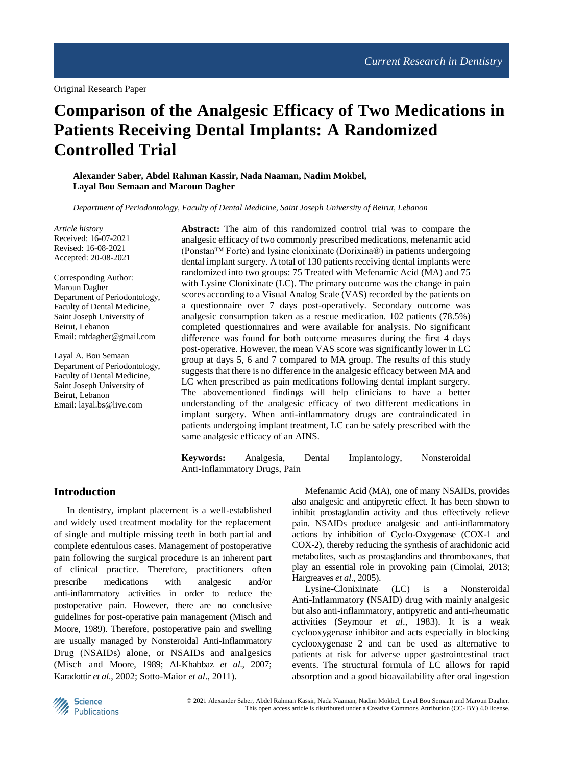Original Research Paper

# **Comparison of the Analgesic Efficacy of Two Medications in Patients Receiving Dental Implants: A Randomized Controlled Trial**

**Alexander Saber, Abdel Rahman Kassir, Nada Naaman, Nadim Mokbel, Layal Bou Semaan and Maroun Dagher**

*Department of Periodontology, Faculty of Dental Medicine, Saint Joseph University of Beirut, Lebanon*

*Article history* Received: 16-07-2021 Revised: 16-08-2021 Accepted: 20-08-2021

Corresponding Author: Maroun Dagher Department of Periodontology, Faculty of Dental Medicine, Saint Joseph University of Beirut, Lebanon Email: mfdagher@gmail.com

Layal A. Bou Semaan Department of Periodontology, Faculty of Dental Medicine, Saint Joseph University of Beirut, Lebanon Email: layal.bs@live.com

**Abstract:** The aim of this randomized control trial was to compare the analgesic efficacy of two commonly prescribed medications, mefenamic acid (Ponstan™ Forte) and lysine clonixinate (Dorixina®) in patients undergoing dental implant surgery. A total of 130 patients receiving dental implants were randomized into two groups: 75 Treated with Mefenamic Acid (MA) and 75 with Lysine Clonixinate (LC). The primary outcome was the change in pain scores according to a Visual Analog Scale (VAS) recorded by the patients on a questionnaire over 7 days post-operatively. Secondary outcome was analgesic consumption taken as a rescue medication. 102 patients (78.5%) completed questionnaires and were available for analysis. No significant difference was found for both outcome measures during the first 4 days post-operative. However, the mean VAS score was significantly lower in LC group at days 5, 6 and 7 compared to MA group. The results of this study suggests that there is no difference in the analgesic efficacy between MA and LC when prescribed as pain medications following dental implant surgery. The abovementioned findings will help clinicians to have a better understanding of the analgesic efficacy of two different medications in implant surgery. When anti-inflammatory drugs are contraindicated in patients undergoing implant treatment, LC can be safely prescribed with the same analgesic efficacy of an AINS.

**Keywords:** Analgesia, Dental Implantology, Nonsteroidal Anti-Inflammatory Drugs, Pain

# **Introduction**

In dentistry, implant placement is a well-established and widely used treatment modality for the replacement of single and multiple missing teeth in both partial and complete edentulous cases. Management of postoperative pain following the surgical procedure is an inherent part of clinical practice. Therefore, practitioners often prescribe medications with analgesic and/or anti-inflammatory activities in order to reduce the postoperative pain. However, there are no conclusive guidelines for post-operative pain management (Misch and Moore, 1989). Therefore, postoperative pain and swelling are usually managed by Nonsteroidal Anti-Inflammatory Drug (NSAIDs) alone, or NSAIDs and analgesics (Misch and Moore, 1989; Al‐Khabbaz *et al*., 2007; Karadottir *et al*., 2002; Sotto-Maior *et al*., 2011).

Mefenamic Acid (MA), one of many NSAIDs, provides also analgesic and antipyretic effect. It has been shown to inhibit prostaglandin activity and thus effectively relieve pain. NSAIDs produce analgesic and anti-inflammatory actions by inhibition of Cyclo-Oxygenase (COX-1 and COX-2), thereby reducing the synthesis of arachidonic acid metabolites, such as prostaglandins and thromboxanes, that play an essential role in provoking pain (Cimolai, 2013; Hargreaves *et al*., 2005).

Lysine-Clonixinate (LC) is a Nonsteroidal Anti-Inflammatory (NSAID) drug with mainly analgesic but also anti-inflammatory, antipyretic and anti-rheumatic activities (Seymour *et al*., 1983). It is a weak cyclooxygenase inhibitor and acts especially in blocking cyclooxygenase 2 and can be used as alternative to patients at risk for adverse upper gastrointestinal tract events. The structural formula of LC allows for rapid absorption and a good bioavailability after oral ingestion

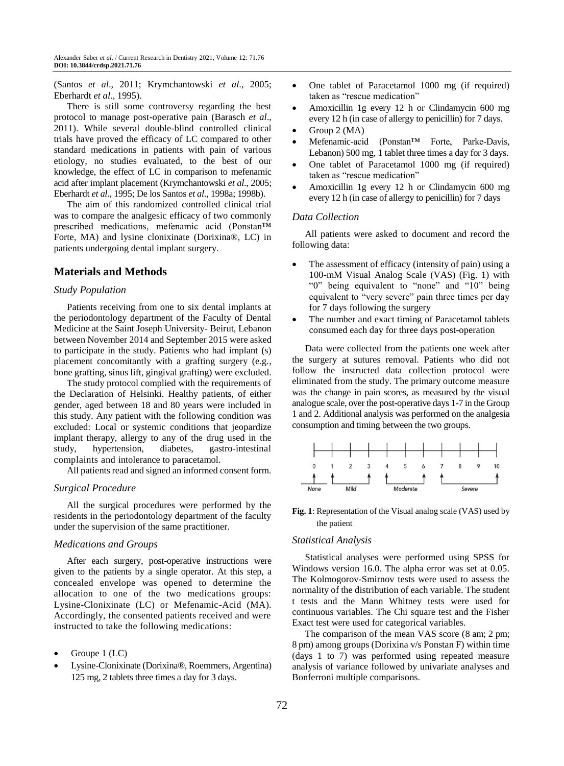(Santos *et al*., 2011; Krymchantowski *et al*., 2005; Eberhardt *et al*., 1995).

There is still some controversy regarding the best protocol to manage post-operative pain (Barasch *et al*., 2011). While several double-blind controlled clinical trials have proved the efficacy of LC compared to other standard medications in patients with pain of various etiology, no studies evaluated, to the best of our knowledge, the effect of LC in comparison to mefenamic acid after implant placement (Krymchantowski *et al*., 2005; Eberhardt *et al*., 1995; De los Santos *et al*., 1998a; 1998b).

The aim of this randomized controlled clinical trial was to compare the analgesic efficacy of two commonly prescribed medications, mefenamic acid (Ponstan™ Forte, MA) and lysine clonixinate (Dorixina®, LC) in patients undergoing dental implant surgery.

# **Materials and Methods**

### *Study Population*

Patients receiving from one to six dental implants at the periodontology department of the Faculty of Dental Medicine at the Saint Joseph University- Beirut, Lebanon between November 2014 and September 2015 were asked to participate in the study. Patients who had implant (s) placement concomitantly with a grafting surgery (e.g., bone grafting, sinus lift, gingival grafting) were excluded.

The study protocol complied with the requirements of the Declaration of Helsinki. Healthy patients, of either gender, aged between 18 and 80 years were included in this study. Any patient with the following condition was excluded: Local or systemic conditions that jeopardize implant therapy, allergy to any of the drug used in the study, hypertension, diabetes, gastro-intestinal complaints and intolerance to paracetamol.

All patients read and signed an informed consent form.

### *Surgical Procedure*

All the surgical procedures were performed by the residents in the periodontology department of the faculty under the supervision of the same practitioner.

# *Medications and Groups*

After each surgery, post-operative instructions were given to the patients by a single operator. At this step, a concealed envelope was opened to determine the allocation to one of the two medications groups: Lysine-Clonixinate (LC) or Mefenamic-Acid (MA). Accordingly, the consented patients received and were instructed to take the following medications:

- Groupe 1 (LC)
- Lysine-Clonixinate (Dorixina®, Roemmers, Argentina) 125 mg, 2 tablets three times a day for 3 days.
- One tablet of Paracetamol 1000 mg (if required) taken as "rescue medication"
- Amoxicillin 1g every 12 h or Clindamycin 600 mg every 12 h (in case of allergy to penicillin) for 7 days.
- Group 2 (MA)
- Mefenamic-acid (Ponstan™ Forte, Parke-Davis, Lebanon) 500 mg, 1 tablet three times a day for 3 days.
- One tablet of Paracetamol 1000 mg (if required) taken as "rescue medication"
- Amoxicillin 1g every 12 h or Clindamycin 600 mg every 12 h (in case of allergy to penicillin) for 7 days

### *Data Collection*

All patients were asked to document and record the following data:

- The assessment of efficacy (intensity of pain) using a 100-mM Visual Analog Scale (VAS) (Fig. 1) with "0" being equivalent to "none" and "10" being equivalent to "very severe" pain three times per day for 7 days following the surgery
- The number and exact timing of Paracetamol tablets consumed each day for three days post-operation

Data were collected from the patients one week after the surgery at sutures removal. Patients who did not follow the instructed data collection protocol were eliminated from the study. The primary outcome measure was the change in pain scores, as measured by the visual analogue scale, over the post-operative days 1-7 in the Group 1 and 2. Additional analysis was performed on the analgesia consumption and timing between the two groups.



### **Fig. 1**: Representation of the Visual analog scale (VAS) used by the patient

#### *Statistical Analysis*

Statistical analyses were performed using SPSS for Windows version 16.0. The alpha error was set at 0.05. The Kolmogorov-Smirnov tests were used to assess the normality of the distribution of each variable. The student t tests and the Mann Whitney tests were used for continuous variables. The Chi square test and the Fisher Exact test were used for categorical variables.

The comparison of the mean VAS score (8 am; 2 pm; 8 pm) among groups (Dorixina v/s Ponstan F) within time (days 1 to 7) was performed using repeated measure analysis of variance followed by univariate analyses and Bonferroni multiple comparisons.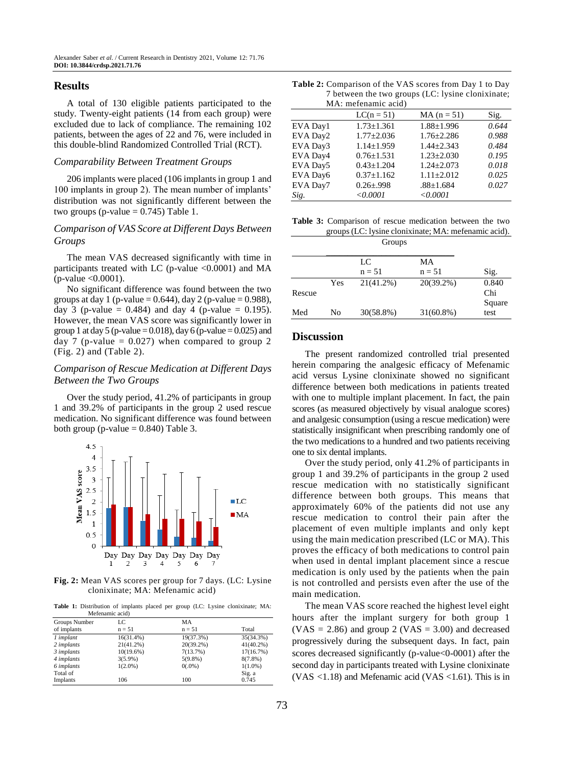## **Results**

A total of 130 eligible patients participated to the study. Twenty-eight patients (14 from each group) were excluded due to lack of compliance. The remaining 102 patients, between the ages of 22 and 76, were included in this double-blind Randomized Controlled Trial (RCT).

#### *Comparability Between Treatment Groups*

206 implants were placed (106 implants in group 1 and 100 implants in group 2). The mean number of implants' distribution was not significantly different between the two groups (p-value  $= 0.745$ ) Table 1.

# *Comparison of VAS Score at Different Days Between Groups*

The mean VAS decreased significantly with time in participants treated with LC (p-value  $\langle 0.0001 \rangle$ ) and MA  $(p-value < 0.0001)$ .

No significant difference was found between the two groups at day 1 (p-value =  $0.644$ ), day 2 (p-value =  $0.988$ ), day 3 (p-value =  $0.484$ ) and day 4 (p-value = 0.195). However, the mean VAS score was significantly lower in group 1 at day 5 (p-value =  $0.018$ ), day 6 (p-value =  $0.025$ ) and day 7 (p-value  $= 0.027$ ) when compared to group 2 (Fig. 2) and (Table 2).

# *Comparison of Rescue Medication at Different Days Between the Two Groups*

Over the study period, 41.2% of participants in group 1 and 39.2% of participants in the group 2 used rescue medication. No significant difference was found between both group (p-value  $= 0.840$ ) Table 3.



**Fig. 2:** Mean VAS scores per group for 7 days. (LC: Lysine clonixinate; MA: Mefenamic acid)

**Table 1:** Distribution of implants placed per group (LC: Lysine clonixinate; MA:

|                   | Mefenamic acid) |              |              |
|-------------------|-----------------|--------------|--------------|
| Groups Number     | LC              | MA           |              |
| of implants       | $n = 51$        | $n = 51$     | Total        |
| 1 implant         | 16(31.4%)       | 19(37.3%)    | 35(34.3%)    |
| 2 implants        | 21(41.2%)       | $20(39.2\%)$ | $41(40.2\%)$ |
| 3 implants        | 10(19.6%)       | 7(13.7%)     | 17(16.7%)    |
| 4 <i>implants</i> | $3(5.9\%)$      | $5(9.8\%)$   | $8(7.8\%)$   |
| 6 implants        | $1(2.0\%)$      | $0(.0\%)$    | $1(1.0\%)$   |
| Total of          |                 |              | Sig. a       |
| Implants          | 106             | 100          | 0.745        |

| <b>Table 2:</b> Comparison of the VAS scores from Day 1 to Day |  |
|----------------------------------------------------------------|--|
| 7 between the two groups (LC: lysine clonixinate;              |  |
| MA: mefenamic acid)                                            |  |

| MA. MEICHAMIC aciu) |                  |       |  |  |  |
|---------------------|------------------|-------|--|--|--|
| $LC(n = 51)$        | $MA (n = 51)$    | Sig.  |  |  |  |
| $1.73 \pm 1.361$    | $1.88 \pm 1.996$ | 0.644 |  |  |  |
| $1.77 \pm 2.036$    | $1.76 \pm 2.286$ | 0.988 |  |  |  |
| $1.14 \pm 1.959$    | $1.44 \pm 2.343$ | 0.484 |  |  |  |
| $0.76 \pm 1.531$    | $1.23 \pm 2.030$ | 0.195 |  |  |  |
| $0.43 \pm 1.204$    | $1.24 + 2.073$   | 0.018 |  |  |  |
| $0.37 \pm 1.162$    | $1.11 \pm 2.012$ | 0.025 |  |  |  |
| $0.26 \pm 0.998$    | $.88 \pm 1.684$  | 0.027 |  |  |  |
| < 0.0001            | < 0.0001         |       |  |  |  |
|                     |                  |       |  |  |  |

|  | <b>Table 3:</b> Comparison of rescue medication between the two |
|--|-----------------------------------------------------------------|
|  | groups (LC: lysine clonixinate; MA: mefenamic acid).            |
|  | Groups                                                          |

|        |     | LC           | MA           |        |
|--------|-----|--------------|--------------|--------|
|        |     | $n = 51$     | $n = 51$     | Sig.   |
|        | Yes | $21(41.2\%)$ | $20(39.2\%)$ | 0.840  |
| Rescue |     |              |              | Chi    |
|        |     |              |              | Square |
| Med    | No  | $30(58.8\%)$ | $31(60.8\%)$ | test   |

### **Discussion**

The present randomized controlled trial presented herein comparing the analgesic efficacy of Mefenamic acid versus Lysine clonixinate showed no significant difference between both medications in patients treated with one to multiple implant placement. In fact, the pain scores (as measured objectively by visual analogue scores) and analgesic consumption (using a rescue medication) were statistically insignificant when prescribing randomly one of the two medications to a hundred and two patients receiving one to six dental implants.

Over the study period, only 41.2% of participants in group 1 and 39.2% of participants in the group 2 used rescue medication with no statistically significant difference between both groups. This means that approximately 60% of the patients did not use any rescue medication to control their pain after the placement of even multiple implants and only kept using the main medication prescribed (LC or MA). This proves the efficacy of both medications to control pain when used in dental implant placement since a rescue medication is only used by the patients when the pain is not controlled and persists even after the use of the main medication.

The mean VAS score reached the highest level eight hours after the implant surgery for both group 1  $(VAS = 2.86)$  and group 2  $(VAS = 3.00)$  and decreased progressively during the subsequent days. In fact, pain scores decreased significantly (p-value<0-0001) after the second day in participants treated with Lysine clonixinate (VAS  $\langle 1.18 \rangle$ ) and Mefenamic acid (VAS  $\langle 1.61 \rangle$ ). This is in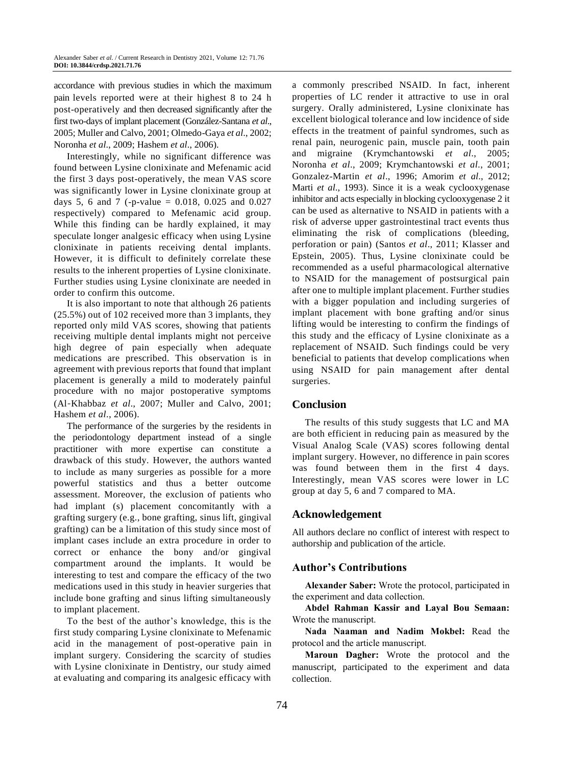accordance with previous studies in which the maximum pain levels reported were at their highest 8 to 24 h post-operatively and then decreased significantly after the first two-days of implant placement (González-Santana *et al*., 2005; Muller and Calvo, 2001; Olmedo-Gaya *et al*., 2002; Noronha *et al*., 2009; Hashem *et al*., 2006).

Interestingly, while no significant difference was found between Lysine clonixinate and Mefenamic acid the first 3 days post-operatively, the mean VAS score was significantly lower in Lysine clonixinate group at days 5, 6 and 7 (-p-value = 0.018, 0.025 and 0.027 respectively) compared to Mefenamic acid group. While this finding can be hardly explained, it may speculate longer analgesic efficacy when using Lysine clonixinate in patients receiving dental implants. However, it is difficult to definitely correlate these results to the inherent properties of Lysine clonixinate. Further studies using Lysine clonixinate are needed in order to confirm this outcome.

It is also important to note that although 26 patients (25.5%) out of 102 received more than 3 implants, they reported only mild VAS scores, showing that patients receiving multiple dental implants might not perceive high degree of pain especially when adequate medications are prescribed. This observation is in agreement with previous reports that found that implant placement is generally a mild to moderately painful procedure with no major postoperative symptoms (Al‐Khabbaz *et al*., 2007; Muller and Calvo, 2001; Hashem *et al*., 2006).

The performance of the surgeries by the residents in the periodontology department instead of a single practitioner with more expertise can constitute a drawback of this study. However, the authors wanted to include as many surgeries as possible for a more powerful statistics and thus a better outcome assessment. Moreover, the exclusion of patients who had implant (s) placement concomitantly with a grafting surgery (e.g., bone grafting, sinus lift, gingival grafting) can be a limitation of this study since most of implant cases include an extra procedure in order to correct or enhance the bony and/or gingival compartment around the implants. It would be interesting to test and compare the efficacy of the two medications used in this study in heavier surgeries that include bone grafting and sinus lifting simultaneously to implant placement.

To the best of the author's knowledge, this is the first study comparing Lysine clonixinate to Mefenamic acid in the management of post-operative pain in implant surgery. Considering the scarcity of studies with Lysine clonixinate in Dentistry, our study aimed at evaluating and comparing its analgesic efficacy with a commonly prescribed NSAID. In fact, inherent properties of LC render it attractive to use in oral surgery. Orally administered, Lysine clonixinate has excellent biological tolerance and low incidence of side effects in the treatment of painful syndromes, such as renal pain, neurogenic pain, muscle pain, tooth pain and migraine (Krymchantowski *et al*., 2005; Noronha *et al*., 2009; Krymchantowski *et al*., 2001; Gonzalez-Martin *et al*., 1996; Amorim *et al*., 2012; Marti *et al*., 1993). Since it is a weak cyclooxygenase inhibitor and acts especially in blocking cyclooxygenase 2 it can be used as alternative to NSAID in patients with a risk of adverse upper gastrointestinal tract events thus eliminating the risk of complications (bleeding, perforation or pain) (Santos *et al*., 2011; Klasser and Epstein, 2005). Thus, Lysine clonixinate could be recommended as a useful pharmacological alternative to NSAID for the management of postsurgical pain after one to multiple implant placement. Further studies with a bigger population and including surgeries of implant placement with bone grafting and/or sinus lifting would be interesting to confirm the findings of this study and the efficacy of Lysine clonixinate as a replacement of NSAID. Such findings could be very beneficial to patients that develop complications when using NSAID for pain management after dental surgeries.

# **Conclusion**

The results of this study suggests that LC and MA are both efficient in reducing pain as measured by the Visual Analog Scale (VAS) scores following dental implant surgery. However, no difference in pain scores was found between them in the first 4 days. Interestingly, mean VAS scores were lower in LC group at day 5, 6 and 7 compared to MA.

# **Acknowledgement**

All authors declare no conflict of interest with respect to authorship and publication of the article.

# **Author's Contributions**

**Alexander Saber:** Wrote the protocol, participated in the experiment and data collection.

**Abdel Rahman Kassir and Layal Bou Semaan:** Wrote the manuscript.

**Nada Naaman and Nadim Mokbel:** Read the protocol and the article manuscript.

**Maroun Dagher:** Wrote the protocol and the manuscript, participated to the experiment and data collection.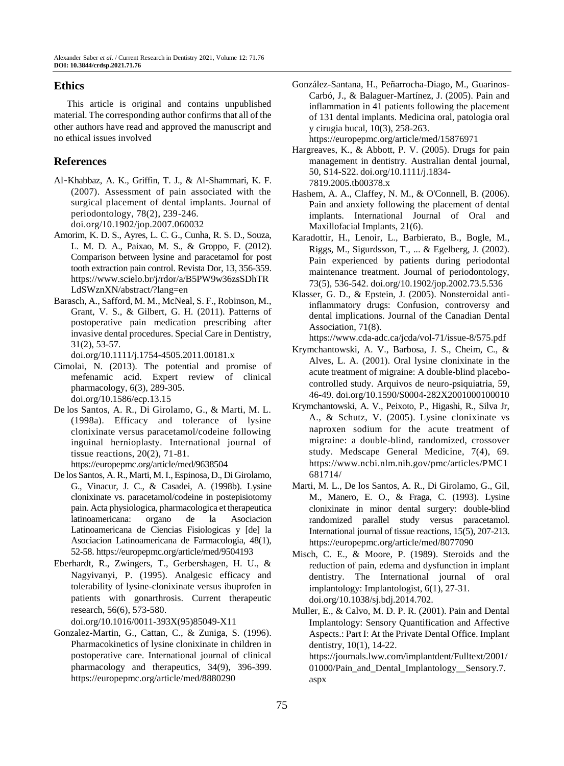# **Ethics**

This article is original and contains unpublished material. The corresponding author confirms that all of the other authors have read and approved the manuscript and no ethical issues involved

# **References**

- Al‐Khabbaz, A. K., Griffin, T. J., & Al‐Shammari, K. F. (2007). Assessment of pain associated with the surgical placement of dental implants. Journal of periodontology, 78(2), 239-246. doi.org/10.1902/jop.2007.060032
- Amorim, K. D. S., Ayres, L. C. G., Cunha, R. S. D., Souza, L. M. D. A., Paixao, M. S., & Groppo, F. (2012). Comparison between lysine and paracetamol for post tooth extraction pain control. Revista Dor, 13, 356-359. https://www.scielo.br/j/rdor/a/B5PW9w36zsSDhTR LdSWznXN/abstract/?lang=en
- Barasch, A., Safford, M. M., McNeal, S. F., Robinson, M., Grant, V. S., & Gilbert, G. H. (2011). Patterns of postoperative pain medication prescribing after invasive dental procedures. Special Care in Dentistry, 31(2), 53-57.

doi.org/10.1111/j.1754-4505.2011.00181.x

- Cimolai, N. (2013). The potential and promise of mefenamic acid. Expert review of clinical pharmacology, 6(3), 289-305. doi.org/10.1586/ecp.13.15
- De los Santos, A. R., Di Girolamo, G., & Marti, M. L. (1998a). Efficacy and tolerance of lysine clonixinate versus paracetamol/codeine following inguinal hernioplasty. International journal of tissue reactions, 20(2), 71-81.
- <https://europepmc.org/article/med/9638504> De los Santos, A. R., Marti, M. I., Espinosa, D., Di Girolamo,
- G., Vinacur, J. C., & Casadei, A. (1998b). Lysine clonixinate vs. paracetamol/codeine in postepisiotomy pain. Acta physiologica, pharmacologica et therapeutica latinoamericana: organo de la Asociacion Latinoamericana de Ciencias Fisiologicas y [de] la Asociacion Latinoamericana de Farmacologia, 48(1), 52-58.<https://europepmc.org/article/med/9504193>
- Eberhardt, R., Zwingers, T., Gerbershagen, H. U., & Nagyivanyi, P. (1995). Analgesic efficacy and tolerability of lysine-clonixinate versus ibuprofen in patients with gonarthrosis. Current therapeutic research, 56(6), 573-580.

doi.org/10.1016/0011-393X(95)85049-X11

Gonzalez-Martin, G., Cattan, C., & Zuniga, S. (1996). Pharmacokinetics of lysine clonixinate in children in postoperative care. International journal of clinical pharmacology and therapeutics, 34(9), 396-399. <https://europepmc.org/article/med/8880290>

González-Santana, H., Peñarrocha-Diago, M., Guarinos-Carbó, J., & Balaguer-Martínez, J. (2005). Pain and inflammation in 41 patients following the placement of 131 dental implants. Medicina oral, patologia oral y cirugia bucal, 10(3), 258-263.

<https://europepmc.org/article/med/15876971>

- Hargreaves, K., & Abbott, P. V. (2005). Drugs for pain management in dentistry. Australian dental journal, 50, S14-S22. doi.org/10.1111/j.1834- 7819.2005.tb00378.x
- Hashem, A. A., Claffey, N. M., & O'Connell, B. (2006). Pain and anxiety following the placement of dental implants. International Journal of Oral and Maxillofacial Implants, 21(6).
- Karadottir, H., Lenoir, L., Barbierato, B., Bogle, M., Riggs, M., Sigurdsson, T., ... & Egelberg, J. (2002). Pain experienced by patients during periodontal maintenance treatment. Journal of periodontology, 73(5), 536-542. doi.org/10.1902/jop.2002.73.5.536
- Klasser, G. D., & Epstein, J. (2005). Nonsteroidal antiinflammatory drugs: Confusion, controversy and dental implications. Journal of the Canadian Dental Association, 71(8).

<https://www.cda-adc.ca/jcda/vol-71/issue-8/575.pdf>

- Krymchantowski, A. V., Barbosa, J. S., Cheim, C., & Alves, L. A. (2001). Oral lysine clonixinate in the acute treatment of migraine: A double-blind placebocontrolled study. Arquivos de neuro-psiquiatria, 59, 46-49. doi.org/10.1590/S0004-282X2001000100010
- Krymchantowski, A. V., Peixoto, P., Higashi, R., Silva Jr, A., & Schutz, V. (2005). Lysine clonixinate vs naproxen sodium for the acute treatment of migraine: a double-blind, randomized, crossover study. Medscape General Medicine, 7(4), 69. [https://www.ncbi.nlm.nih.gov/pmc/articles/PMC1](https://www.ncbi.nlm.nih.gov/pmc/articles/PMC1681714/) [681714/](https://www.ncbi.nlm.nih.gov/pmc/articles/PMC1681714/)
- Marti, M. L., De los Santos, A. R., Di Girolamo, G., Gil, M., Manero, E. O., & Fraga, C. (1993). Lysine clonixinate in minor dental surgery: double-blind randomized parallel study versus paracetamol. International journal of tissue reactions, 15(5), 207-213. <https://europepmc.org/article/med/8077090>
- Misch, C. E., & Moore, P. (1989). Steroids and the reduction of pain, edema and dysfunction in implant dentistry. The International journal of oral implantology: Implantologist, 6(1), 27-31. doi.org/10.1038/sj.bdj.2014.702.
- Muller, E., & Calvo, M. D. P. R. (2001). Pain and Dental Implantology: Sensory Quantification and Affective Aspects.: Part I: At the Private Dental Office. Implant dentistry, 10(1), 14-22. [https://journals.lww.com/implantdent/Fulltext/2001/](https://journals.lww.com/implantdent/Fulltext/2001/01000/Pain_and_Dental_Implantology__Sensory.7.aspx)

01000/Pain and Dental Implantology Sensory.7. [aspx](https://journals.lww.com/implantdent/Fulltext/2001/01000/Pain_and_Dental_Implantology__Sensory.7.aspx)